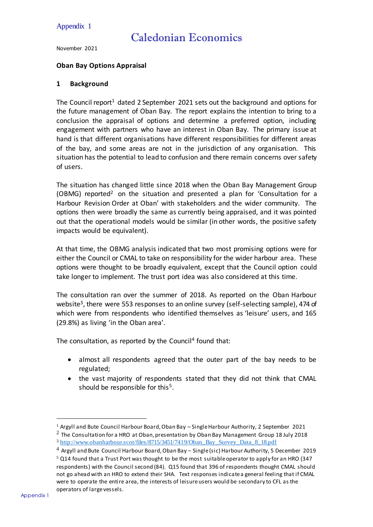#### Appendix 1

# Caledonian Economics

November 2021

#### **Oban Bay Options Appraisal**

#### **1 Background**

The Council report<sup>1</sup> dated 2 September 2021 sets out the background and options for the future management of Oban Bay. The report explains the intention to bring to a conclusion the appraisal of options and determine a preferred option, including engagement with partners who have an interest in Oban Bay. The primary issue at hand is that different organisations have different responsibilities for different areas of the bay, and some areas are not in the jurisdiction of any organisation. This situation has the potential to lead to confusion and there remain concerns over safety of users.

The situation has changed little since 2018 when the Oban Bay Management Group (OBMG) reported<sup>2</sup> on the situation and presented a plan for 'Consultation for a Harbour Revision Order at Oban' with stakeholders and the wider community. The options then were broadly the same as currently being appraised, and it was pointed out that the operational models would be similar (in other words, the positive safety impacts would be equivalent).

At that time, the OBMG analysis indicated that two most promising options were for either the Council or CMAL to take on responsibility for the wider harbour area. These options were thought to be broadly equivalent, except that the Council option could take longer to implement. The trust port idea was also considered at this time.

The consultation ran over the summer of 2018. As reported on the Oban Harbour website<sup>3</sup>, there were 553 responses to an online survey (self-selecting sample), 474 of which were from respondents who identified themselves as 'leisure' users, and 165 (29.8%) as living 'in the Oban area'.

The consultation, as reported by the Council<sup>4</sup> found that:

- almost all respondents agreed that the outer part of the bay needs to be regulated;
- the vast majority of respondents stated that they did not think that CMAL should be responsible for this<sup>5</sup>.

 $\overline{a}$ 

<sup>1</sup> Argyll and Bute Council Harbour Board, Oban Bay – Single Harbour Authority, 2 September 2021

 $^2$  The Consultation for a HRO at Oban, presentation by Oban Bay Management Group 18 July 2018 <sup>3</sup> [http://www.obanharbour.scot/files/8715/3451/7419/Oban\\_Bay\\_Survey\\_Data\\_8\\_18.pdf](http://www.obanharbour.scot/files/8715/3451/7419/Oban_Bay_Survey_Data_8_18.pdf)

<sup>4</sup> Argyll and Bute Council Harbour Board, Oban Bay – Single (sic) Harbour Authority, 5 December 2019

 $5$  Q14 found that a Trust Port was thought to be the most suitable operator to apply for an HRO (347 respondents) with the Council second (84). Q15 found that 396 of respondents thought CMAL should not go ahead with an HRO to extend their SHA. Text responses indicate a general feeling that if CMAL were to operate the entire area, the interests of leisure users would be secondary to CFL as the operators of large vessels.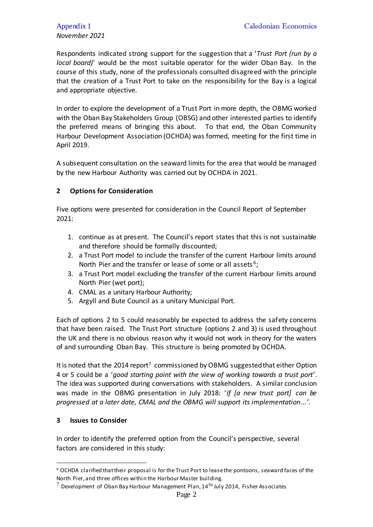# *November 2021*

Respondents indicated strong support for the suggestion that a '*Trust Port (run by a local board)*' would be the most suitable operator for the wider Oban Bay. In the course of this study, none of the professionals consulted disagreed with the principle that the creation of a Trust Port to take on the responsibility for the Bay is a logical and appropriate objective.

In order to explore the development of a Trust Port in more depth, the OBMG worked with the Oban Bay Stakeholders Group (OBSG) and other interested parties to identify the preferred means of bringing this about. To that end, the Oban Community Harbour Development Association (OCHDA) was formed, meeting for the first time in April 2019.

A subsequent consultation on the seaward limits for the area that would be managed by the new Harbour Authority was carried out by OCHDA in 2021.

## **2 Options for Consideration**

Five options were presented for consideration in the Council Report of September 2021:

- 1. continue as at present. The Council's report states that this is not sustainable and therefore should be formally discounted;
- 2. a Trust Port model to include the transfer of the current Harbour limits around North Pier and the transfer or lease of some or all assets<sup>6</sup>;
- 3. a Trust Port model excluding the transfer of the current Harbour limits around North Pier (wet port);
- 4. CMAL as a unitary Harbour Authority;
- 5. Argyll and Bute Council as a unitary Municipal Port.

Each of options 2 to 5 could reasonably be expected to address the safety concerns that have been raised. The Trust Port structure (options 2 and 3) is used throughout the UK and there is no obvious reason why it would not work in theory for the waters of and surrounding Oban Bay. This structure is being promoted by OCHDA.

It is noted that the 2014 report<sup>7</sup> commissioned by OBMG suggested that either Option 4 or 5 could be a '*good starting point with the view of working towards a trust port'*. The idea was supported during conversations with stakeholders. A similar conclusion was made in the OBMG presentation in July 2018: '*If [a new trust port] can be progressed at a later date, CMAL and the OBMG will support its implementation...'*.

#### **3 Issues to Consider**

 $\overline{a}$ 

In order to identify the preferred option from the Council's perspective, several factors are considered in this study:

 $6$  OCHDA clarified that their proposal is for the Trust Port to lease the pontoons, seaward faces of the North Pier, and three offices within the Harbour Master building.

 $7$  Development of Oban Bay Harbour Management Plan,  $14<sup>TH</sup>$  July 2014, Fisher Associates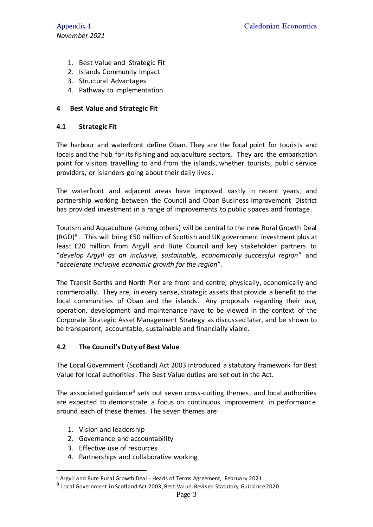- 1. Best Value and Strategic Fit
- 2. Islands Community Impact
- 3. Structural Advantages
- 4. Pathway to Implementation

# **4 Best Value and Strategic Fit**

#### **4.1 Strategic Fit**

The harbour and waterfront define Oban. They are the focal point for tourists and locals and the hub for its fishing and aquaculture sectors. They are the embarkation point for visitors travelling to and from the islands, whether tourists, public service providers, or islanders going about their daily lives.

The waterfront and adjacent areas have improved vastly in recent years, and partnership working between the Council and Oban Business Improvement District has provided investment in a range of improvements to public spaces and frontage.

Tourism and Aquaculture (among others) will be central to the new Rural Growth Deal (RGD)<sup>8</sup>. This will bring £50 million of Scottish and UK government investment plus at least £20 million from Argyll and Bute Council and key stakeholder partners to "*develop Argyll as an inclusive, sustainable, economically successful region*" and "*accelerate inclusive economic growth for the region*".

The Transit Berths and North Pier are front and centre, physically, economically and commercially. They are, in every sense, strategic assets that provide a benefit to the local communities of Oban and the islands. Any proposals regarding their use, operation, development and maintenance have to be viewed in the context of the Corporate Strategic Asset Management Strategy as discussed later, and be shown to be transparent, accountable, sustainable and financially viable.

## **4.2 The Council's Duty of Best Value**

The [Local Government \(Scotland\)](http://www.legislation.gov.uk/asp/2003/1/contents) Act 2003 introduced a statutory framework for Best Value for local authorities. The Best Value duties are set out in the Act.

The associated guidance<sup>9</sup> sets out seven cross-cutting themes, and local authorities are expected to demonstrate a focus on continuous improvement in performance around each of these themes. The seven themes are:

1. Vision and leadership

 $\overline{a}$ 

- 2. Governance and accountability
- 3. Effective use of resources
- 4. Partnerships and collaborative working

<sup>8</sup> Argyll and Bute Rural Growth Deal - Heads of Terms Agreement, February 2021

 $^9$  Local Government in Scotland Act 2003, Best Value: Revised Statutory Guidance 2020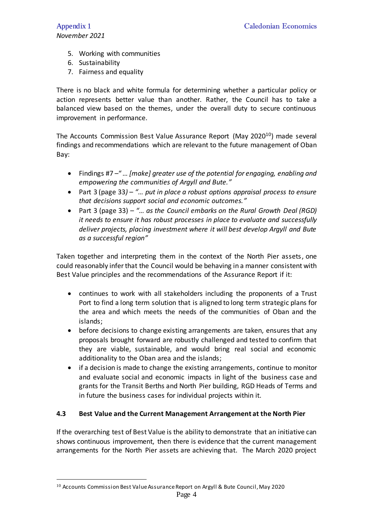- 5. Working with communities
- 6. Sustainability
- 7. Fairness and equality

There is no black and white formula for determining whether a particular policy or action represents better value than another. Rather, the Council has to take a balanced view based on the themes, under the overall duty to secure continuous improvement in performance.

The Accounts Commission Best Value Assurance Report (May 2020<sup>10</sup>) made several findings and recommendations which are relevant to the future management of Oban Bay:

- Findings #7 –"*… [make] greater use of the potential for engaging, enabling and empowering the communities of Argyll and Bute."*
- Part 3 (page 33*) – "… put in place a robust options appraisal process to ensure that decisions support social and economic outcomes."*
- Part 3 (page 33) *– "… as the Council embarks on the Rural Growth Deal (RGD) it needs to ensure it has robust processes in place to evaluate and successfully deliver projects, placing investment where it will best develop Argyll and Bute as a successful region"*

Taken together and interpreting them in the context of the North Pier assets, one could reasonably infer that the Council would be behaving in a manner consistent with Best Value principles and the recommendations of the Assurance Report if it:

- continues to work with all stakeholders including the proponents of a Trust Port to find a long term solution that is aligned to long term strategic plans for the area and which meets the needs of the communities of Oban and the islands;
- before decisions to change existing arrangements are taken, ensures that any proposals brought forward are robustly challenged and tested to confirm that they are viable, sustainable, and would bring real social and economic additionality to the Oban area and the islands;
- if a decision is made to change the existing arrangements, continue to monitor and evaluate social and economic impacts in light of the business case and grants for the Transit Berths and North Pier building, RGD Heads of Terms and in future the business cases for individual projects within it.

# **4.3 Best Value and the Current Management Arrangement at the North Pier**

If the overarching test of Best Value is the ability to demonstrate that an initiative can shows continuous improvement, then there is evidence that the current management arrangements for the North Pier assets are achieving that. The March 2020 project

<sup>&</sup>lt;sup>10</sup> Accounts Commission Best Value Assurance Report on Argyll & Bute Council, May 2020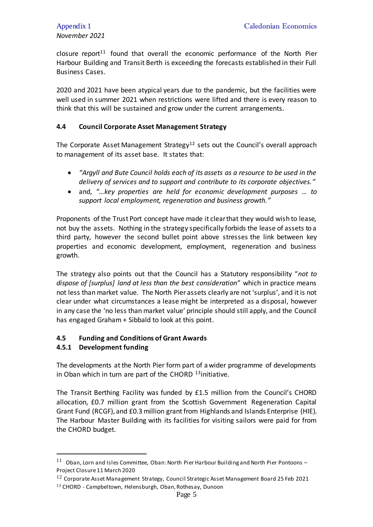closure report<sup>11</sup> found that overall the economic performance of the North Pier Harbour Building and Transit Berth is exceeding the forecasts established in their Full Business Cases.

2020 and 2021 have been atypical years due to the pandemic, but the facilities were well used in summer 2021 when restrictions were lifted and there is every reason to think that this will be sustained and grow under the current arrangements.

#### **4.4 Council Corporate Asset Management Strategy**

The Corporate Asset Management Strategy<sup>12</sup> sets out the Council's overall approach to management of its asset base. It states that:

- *"Argyll and Bute Council holds each of its assets as a resource to be used in the delivery of services and to support and contribute to its corporate objectives."*
- and, *"…key properties are held for economic development purposes … to support local employment, regeneration and business growth."*

Proponents of the Trust Port concept have made it clear that they would wish to lease, not buy the assets. Nothing in the strategy specifically forbids the lease of assets to a third party, however the second bullet point above stresses the link between key properties and economic development, employment, regeneration and business growth.

The strategy also points out that the Council has a Statutory responsibility "*not to dispose of [surplus] land at less than the best consideration*" which in practice means not less than market value. The North Pier assets clearly are not 'surplus', and it is not clear under what circumstances a lease might be interpreted as a disposal, however in any case the 'no less than market value' principle should still apply, and the Council has engaged Graham + Sibbald to look at this point.

#### **4.5 Funding and Conditions of Grant Awards**

#### **4.5.1 Development funding**

 $\overline{a}$ 

The developments at the North Pier form part of a wider programme of developments in Oban which in turn are part of the CHORD  $13$  initiative.

The Transit Berthing Facility was funded by £1.5 million from the Council's CHORD allocation, £0.7 million grant from the Scottish Government Regeneration Capital Grant Fund (RCGF), and £0.3 million grant from Highlands and Islands Enterprise (HIE). The Harbour Master Building with its facilities for visiting sailors were paid for from the CHORD budget.

 $11$  Oban, Lorn and Isles Committee, Oban: North Pier Harbour Building and North Pier Pontoons – Project Closure 11 March 2020

 $12$  Corporate Asset Management Strategy, Council Strategic Asset Management Board 25 Feb 2021 <sup>13</sup> CHORD - Campbeltown, Helensburgh, Oban, Rothesay, Dunoon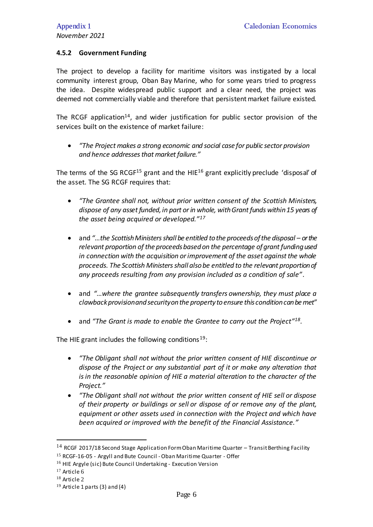#### **4.5.2 Government Funding**

The project to develop a facility for maritime visitors was instigated by a local community interest group, Oban Bay Marine, who for some years tried to progress the idea. Despite widespread public support and a clear need, the project was deemed not commercially viable and therefore that persistent market failure existed.

The RCGF application<sup>14</sup>, and wider justification for public sector provision of the services built on the existence of market failure:

 *"The Project makes a strong economic and social case for public sector provision and hence addresses that market failure."*

The terms of the SG RCGF<sup>15</sup> grant and the HIE<sup>16</sup> grant explicitly preclude 'disposal' of the asset. The SG RCGF requires that:

- *"The Grantee shall not, without prior written consent of the Scottish Ministers, dispose of any asset funded, in part or in whole, with Grant funds within 15 years of the asset being acquired or developed."<sup>17</sup>*
- and "...the Scottish Ministers shall be entitled to the proceeds of the disposal or the *relevant proportion of the proceeds based on the percentage of grant funding used in connection with the acquisition or improvement of the asset against the whole proceeds. The Scottish Ministers shall also be entitled to the relevant proportion of any proceeds resulting from any provision included as a condition of sale".*
- and *"…where the grantee subsequently transfers ownership, they must place a clawback provision and security on the property to ensure this condition can be met"*
- and "The Grant is made to enable the Grantee to carry out the Project"<sup>18</sup>.

The HIE grant includes the following conditions<sup>19</sup>:

- *"The Obligant shall not without the prior written consent of HIE discontinue or dispose of the Project or any substantial part of it or make any alteration that is in the reasonable opinion of HIE a material alteration to the character of the Project."*
- *"The Obligant shall not without the prior written consent of HIE sell or dispose of their property or buildings or sell or dispose of or remove any of the plant, equipment or other assets used in connection with the Project and which have been acquired or improved with the benefit of the Financial Assistance."*

 $\overline{a}$ 

 $14$  RCGF 2017/18 Second Stage Application Form Oban Maritime Quarter - Transit Berthing Facility

<sup>&</sup>lt;sup>15</sup> RCGF-16-05 - Argyll and Bute Council - Oban Maritime Quarter - Offer

<sup>&</sup>lt;sup>16</sup> HIE Argyle (sic) Bute Council Undertaking - Execution Version

<sup>17</sup> Article 6

<sup>18</sup> Article 2

 $19$  Article 1 parts (3) and (4)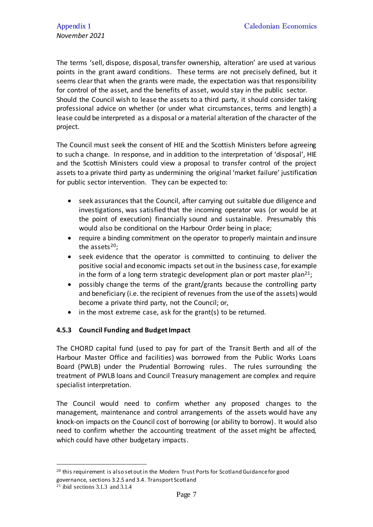The terms 'sell, dispose, disposal, transfer ownership, alteration' are used at various points in the grant award conditions. These terms are not precisely defined, but it seems clear that when the grants were made, the expectation was that responsibility for control of the asset, and the benefits of asset, would stay in the public sector. Should the Council wish to lease the assets to a third party, it should consider taking professional advice on whether (or under what circumstances, terms and length) a lease could be interpreted as a disposal or a material alteration of the character of the project.

The Council must seek the consent of HIE and the Scottish Ministers before agreeing to such a change. In response, and in addition to the interpretation of 'disposal', HIE and the Scottish Ministers could view a proposal to transfer control of the project assets to a private third party as undermining the original 'market failure' justification for public sector intervention. They can be expected to:

- seek assurances that the Council, after carrying out suitable due diligence and investigations, was satisfied that the incoming operator was (or would be at the point of execution) financially sound and sustainable. Presumably this would also be conditional on the Harbour Order being in place;
- require a binding commitment on the operator to properly maintain and insure the assets $20$ ;
- seek evidence that the operator is committed to continuing to deliver the positive social and economic impacts set out in the business case, for example in the form of a long term strategic development plan or port master plan<sup>21</sup>;
- possibly change the terms of the grant/grants because the controlling party and beneficiary (i.e. the recipient of revenues from the use of the assets) would become a private third party, not the Council; or,
- in the most extreme case, ask for the grant(s) to be returned.

## **4.5.3 Council Funding and Budget Impact**

The CHORD capital fund (used to pay for part of the Transit Berth and all of the Harbour Master Office and facilities) was borrowed from the Public Works Loans Board (PWLB) under the Prudential Borrowing rules. The rules surrounding the treatment of PWLB loans and Council Treasury management are complex and require specialist interpretation.

The Council would need to confirm whether any proposed changes to the management, maintenance and control arrangements of the assets would have any knock-on impacts on the Council cost of borrowing (or ability to borrow). It would also need to confirm whether the accounting treatment of the asset might be affected, which could have other budgetary impacts.

 $\overline{a}$ 

 $20$  this requirement is also set out in the Modern Trust Ports for Scotland Guidance for good governance, sections 3.2.5 and 3.4. Transport Scotland

 $21$  ibid sections 3.1.3 and 3.1.4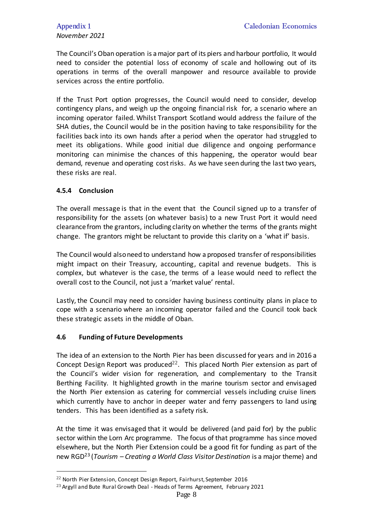The Council's Oban operation is a major part of its piers and harbour portfolio, It would need to consider the potential loss of economy of scale and hollowing out of its operations in terms of the overall manpower and resource available to provide services across the entire portfolio.

If the Trust Port option progresses, the Council would need to consider, develop contingency plans, and weigh up the ongoing financial risk for, a scenario where an incoming operator failed. Whilst Transport Scotland would address the failure of the SHA duties, the Council would be in the position having to take responsibility for the facilities back into its own hands after a period when the operator had struggled to meet its obligations. While good initial due diligence and ongoing performance monitoring can minimise the chances of this happening, the operator would bear demand, revenue and operating cost risks. As we have seen during the last two years, these risks are real.

#### **4.5.4 Conclusion**

 $\overline{a}$ 

The overall message is that in the event that the Council signed up to a transfer of responsibility for the assets (on whatever basis) to a new Trust Port it would need clearance from the grantors, including clarity on whether the terms of the grants might change. The grantors might be reluctant to provide this clarity on a 'what if' basis.

The Council would also need to understand how a proposed transfer of responsibilities might impact on their Treasury, accounting, capital and revenue budgets. This is complex, but whatever is the case, the terms of a lease would need to reflect the overall cost to the Council, not just a 'market value' rental.

Lastly, the Council may need to consider having business continuity plans in place to cope with a scenario where an incoming operator failed and the Council took back these strategic assets in the middle of Oban.

#### **4.6 Funding of Future Developments**

The idea of an extension to the North Pier has been discussed for years and in 2016 a Concept Design Report was produced<sup>22</sup>. This placed North Pier extension as part of the Council's wider vision for regeneration, and complementary to the Transit Berthing Facility. It highlighted growth in the marine tourism sector and envisaged the North Pier extension as catering for commercial vessels including cruise liners which currently have to anchor in deeper water and ferry passengers to land using tenders. This has been identified as a safety risk.

At the time it was envisaged that it would be delivered (and paid for) by the public sector within the Lorn Arc programme. The focus of that programme has since moved elsewhere, but the North Pier Extension could be a good fit for funding as part of the new RGD<sup>23</sup> (*Tourism – Creating a World Class Visitor Destination* is a major theme) and

<sup>22</sup> North Pier Extension, Concept Design Report, Fairhurst, September 2016

 $23$  Argyll and Bute Rural Growth Deal - Heads of Terms Agreement, February 2021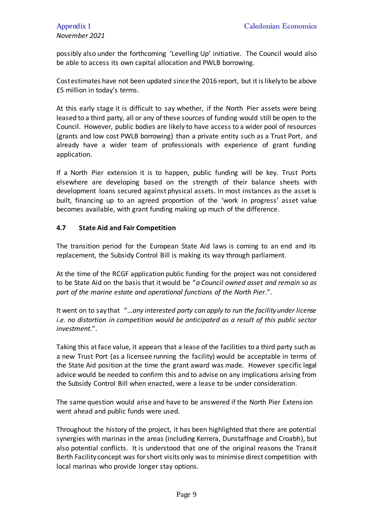possibly also under the forthcoming 'Levelling Up' initiative. The Council would also be able to access its own capital allocation and PWLB borrowing.

Cost estimates have not been updated since the 2016 report, but it is likely to be above £5 million in today's terms.

At this early stage it is difficult to say whether, if the North Pier assets were being leased to a third party, all or any of these sources of funding would still be open to the Council. However, public bodies are likely to have access to a wider pool of resources (grants and low cost PWLB borrowing) than a private entity such as a Trust Port, and already have a wider team of professionals with experience of grant funding application.

If a North Pier extension it is to happen, public funding will be key. Trust Ports elsewhere are developing based on the strength of their balance sheets with development loans secured against physical assets. In most instances as the asset is built, financing up to an agreed proportion of the 'work in progress' asset value becomes available, with grant funding making up much of the difference.

#### **4.7 State Aid and Fair Competition**

The transition period for the European State Aid laws is coming to an end and its replacement, the Subsidy Control Bill is making its way through parliament.

At the time of the RCGF application public funding for the project was not considered to be State Aid on the basis that it would be "*a Council owned asset and remain so as part of the marine estate and operational functions of the North Pier*.".

It went on to say that "…*any interested party can apply to run the facility under license i.e. no distortion in competition would be anticipated as a result of this public sector investment*.".

Taking this at face value, it appears that a lease of the facilities to a third party such as a new Trust Port (as a licensee running the facility) would be acceptable in terms of the State Aid position at the time the grant award was made. However specific legal advice would be needed to confirm this and to advise on any implications arising from the Subsidy Control Bill when enacted, were a lease to be under consideration.

The same question would arise and have to be answered if the North Pier Extension went ahead and public funds were used.

Throughout the history of the project, it has been highlighted that there are potential synergies with marinas in the areas (including Kerrera, Dunstaffnage and Croabh), but also potential conflicts. It is understood that one of the original reasons the Transit Berth Facility concept was for short visits only was to minimise direct competition with local marinas who provide longer stay options.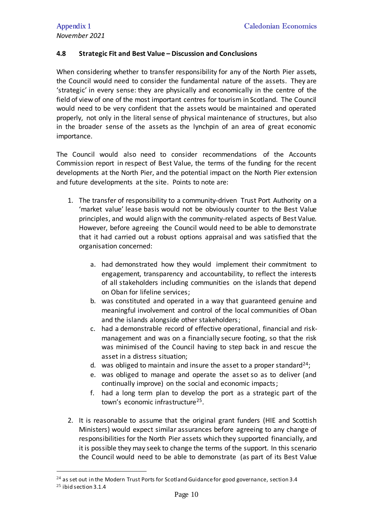#### **4.8 Strategic Fit and Best Value – Discussion and Conclusions**

When considering whether to transfer responsibility for any of the North Pier assets, the Council would need to consider the fundamental nature of the assets. They are 'strategic' in every sense: they are physically and economically in the centre of the field of view of one of the most important centres for tourism in Scotland. The Council would need to be very confident that the assets would be maintained and operated properly, not only in the literal sense of physical maintenance of structures, but also in the broader sense of the assets as the lynchpin of an area of great economic importance.

The Council would also need to consider recommendations of the Accounts Commission report in respect of Best Value, the terms of the funding for the recent developments at the North Pier, and the potential impact on the North Pier extension and future developments at the site. Points to note are:

- 1. The transfer of responsibility to a community-driven Trust Port Authority on a 'market value' lease basis would not be obviously counter to the Best Value principles, and would align with the community-related aspects of Best Value. However, before agreeing the Council would need to be able to demonstrate that it had carried out a robust options appraisal and was satisfied that the organisation concerned:
	- a. had demonstrated how they would implement their commitment to engagement, transparency and accountability, to reflect the interests of all stakeholders including communities on the islands that depend on Oban for lifeline services;
	- b. was constituted and operated in a way that guaranteed genuine and meaningful involvement and control of the local communities of Oban and the islands alongside other stakeholders;
	- c. had a demonstrable record of effective operational, financial and riskmanagement and was on a financially secure footing, so that the risk was minimised of the Council having to step back in and rescue the asset in a distress situation;
	- d. was obliged to maintain and insure the asset to a proper standard<sup>24</sup>;
	- e. was obliged to manage and operate the asset so as to deliver (and continually improve) on the social and economic impacts;
	- f. had a long term plan to develop the port as a strategic part of the town's economic infrastructure<sup>25</sup>.
- 2. It is reasonable to assume that the original grant funders (HIE and Scottish Ministers) would expect similar assurances before agreeing to any change of responsibilities for the North Pier assets which they supported financially, and it is possible they may seek to change the terms of the support. In this scenario the Council would need to be able to demonstrate (as part of its Best Value

 $24$  as set out in the Modern Trust Ports for Scotland Guidance for good governance, section 3.4 <sup>25</sup> ibid section 3.1.4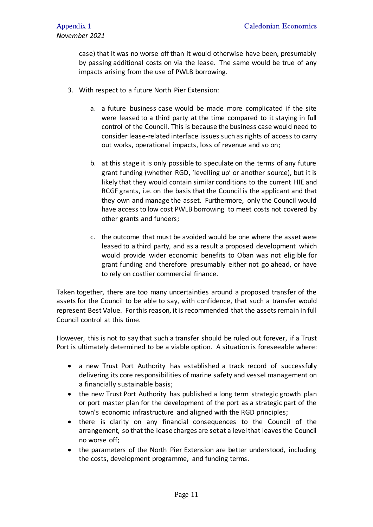case) that it was no worse off than it would otherwise have been, presumably by passing additional costs on via the lease. The same would be true of any impacts arising from the use of PWLB borrowing.

- 3. With respect to a future North Pier Extension:
	- a. a future business case would be made more complicated if the site were leased to a third party at the time compared to it staying in full control of the Council. This is because the business case would need to consider lease-related interface issues such as rights of access to carry out works, operational impacts, loss of revenue and so on;
	- b. at this stage it is only possible to speculate on the terms of any future grant funding (whether RGD, 'levelling up' or another source), but it is likely that they would contain similar conditions to the current HIE and RCGF grants, i.e. on the basis that the Council is the applicant and that they own and manage the asset. Furthermore, only the Council would have access to low cost PWLB borrowing to meet costs not covered by other grants and funders;
	- c. the outcome that must be avoided would be one where the asset were leased to a third party, and as a result a proposed development which would provide wider economic benefits to Oban was not eligible for grant funding and therefore presumably either not go ahead, or have to rely on costlier commercial finance.

Taken together, there are too many uncertainties around a proposed transfer of the assets for the Council to be able to say, with confidence, that such a transfer would represent Best Value. For this reason, it is recommended that the assets remain in full Council control at this time.

However, this is not to say that such a transfer should be ruled out forever, if a Trust Port is ultimately determined to be a viable option. A situation is foreseeable where:

- a new Trust Port Authority has established a track record of successfully delivering its core responsibilities of marine safety and vessel management on a financially sustainable basis;
- the new Trust Port Authority has published a long term strategic growth plan or port master plan for the development of the port as a strategic part of the town's economic infrastructure and aligned with the RGD principles;
- there is clarity on any financial consequences to the Council of the arrangement, so that the lease charges are set at a level that leaves the Council no worse off;
- the parameters of the North Pier Extension are better understood, including the costs, development programme, and funding terms.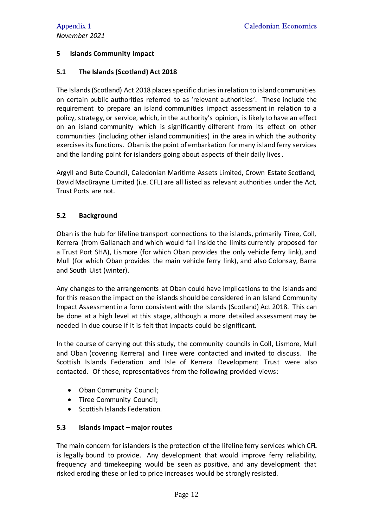# **5 Islands Community Impact**

## **5.1 The Islands (Scotland) Act 2018**

The Islands (Scotland) Act 2018 places specific duties in relation to island communities on certain public authorities referred to as 'relevant authorities'. These include the requirement to prepare an island communities impact assessment in relation to a policy, strategy, or service, which, in the authority's opinion, is likely to have an effect on an island community which is significantly different from its effect on other communities (including other island communities) in the area in which the authority exercises its functions. Oban is the point of embarkation for many island ferry services and the landing point for islanders going about aspects of their daily lives.

Argyll and Bute Council, Caledonian Maritime Assets Limited, Crown Estate Scotland, David MacBrayne Limited (i.e. CFL) are all listed as relevant authorities under the Act, Trust Ports are not.

# **5.2 Background**

Oban is the hub for lifeline transport connections to the islands, primarily Tiree, Coll, Kerrera (from Gallanach and which would fall inside the limits currently proposed for a Trust Port SHA), Lismore (for which Oban provides the only vehicle ferry link), and Mull (for which Oban provides the main vehicle ferry link), and also Colonsay, Barra and South Uist (winter).

Any changes to the arrangements at Oban could have implications to the islands and for this reason the impact on the islands should be considered in an Island Community Impact Assessment in a form consistent with the Islands (Scotland) Act 2018. This can be done at a high level at this stage, although a more detailed assessment may be needed in due course if it is felt that impacts could be significant.

In the course of carrying out this study, the community councils in Coll, Lismore, Mull and Oban (covering Kerrera) and Tiree were contacted and invited to discuss. The Scottish Islands Federation and Isle of Kerrera Development Trust were also contacted. Of these, representatives from the following provided views:

- Oban Community Council;
- Tiree Community Council;
- Scottish Islands Federation.

## **5.3 Islands Impact – major routes**

The main concern for islanders is the protection of the lifeline ferry services which CFL is legally bound to provide. Any development that would improve ferry reliability, frequency and timekeeping would be seen as positive, and any development that risked eroding these or led to price increases would be strongly resisted.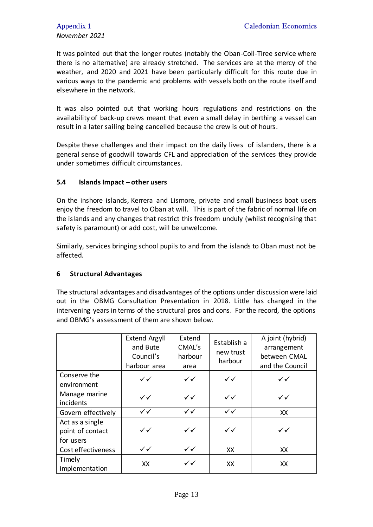# *November 2021*

It was pointed out that the longer routes (notably the Oban-Coll-Tiree service where there is no alternative) are already stretched. The services are at the mercy of the weather, and 2020 and 2021 have been particularly difficult for this route due in various ways to the pandemic and problems with vessels both on the route itself and elsewhere in the network.

It was also pointed out that working hours regulations and restrictions on the availability of back-up crews meant that even a small delay in berthing a vessel can result in a later sailing being cancelled because the crew is out of hours.

Despite these challenges and their impact on the daily lives of islanders, there is a general sense of goodwill towards CFL and appreciation of the services they provide under sometimes difficult circumstances.

# **5.4 Islands Impact – other users**

On the inshore islands, Kerrera and Lismore, private and small business boat users enjoy the freedom to travel to Oban at will. This is part of the fabric of normal life on the islands and any changes that restrict this freedom unduly (whilst recognising that safety is paramount) or add cost, will be unwelcome.

Similarly, services bringing school pupils to and from the islands to Oban must not be affected.

## **6 Structural Advantages**

The structural advantages and disadvantages of the options under discussion were laid out in the OBMG Consultation Presentation in 2018. Little has changed in the intervening years in terms of the structural pros and cons. For the record, the options and OBMG's assessment of them are shown below.

|                                                  | <b>Extend Argyll</b><br>and Bute<br>Council's<br>harbour area | Extend<br>CMAL's<br>harbour<br>area | Establish a<br>new trust<br>harbour | A joint (hybrid)<br>arrangement<br>between CMAL<br>and the Council |
|--------------------------------------------------|---------------------------------------------------------------|-------------------------------------|-------------------------------------|--------------------------------------------------------------------|
| Conserve the<br>environment                      | $\checkmark$                                                  | $\checkmark$                        | $\checkmark$                        | $\checkmark$                                                       |
| Manage marine<br>incidents                       | $\checkmark$                                                  | $\checkmark$                        | $\checkmark$                        | $\checkmark$                                                       |
| Govern effectively                               | ✓✓                                                            | $\checkmark$                        | $\checkmark$                        | XX                                                                 |
| Act as a single<br>point of contact<br>for users | ✓✓                                                            | $\checkmark$                        | $\checkmark$                        | $\checkmark$                                                       |
| Cost effectiveness                               | $\checkmark$                                                  | $\checkmark$                        | XX                                  | XX                                                                 |
| Timely<br>implementation                         | XX                                                            | $\checkmark$                        | XX                                  | XX                                                                 |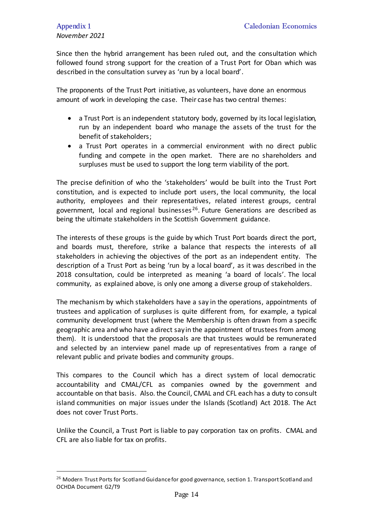Since then the hybrid arrangement has been ruled out, and the consultation which followed found strong support for the creation of a Trust Port for Oban which was described in the consultation survey as 'run by a local board'.

The proponents of the Trust Port initiative, as volunteers, have done an enormous amount of work in developing the case. Their case has two central themes:

- a Trust Port is an independent statutory body, governed by its local legislation, run by an independent board who manage the assets of the trust for the benefit of stakeholders;
- a Trust Port operates in a commercial environment with no direct public funding and compete in the open market. There are no shareholders and surpluses must be used to support the long term viability of the port.

The precise definition of who the 'stakeholders' would be built into the Trust Port constitution, and is expected to include port users, the local community, the local authority, employees and their representatives, related interest groups, central government, local and regional businesses<sup>26</sup>. Future Generations are described as being the ultimate stakeholders in the Scottish Government guidance.

The interests of these groups is the guide by which Trust Port boards direct the port, and boards must, therefore, strike a balance that respects the interests of all stakeholders in achieving the objectives of the port as an independent entity. The description of a Trust Port as being 'run by a local board', as it was described in the 2018 consultation, could be interpreted as meaning 'a board of locals'. The local community, as explained above, is only one among a diverse group of stakeholders.

The mechanism by which stakeholders have a say in the operations, appointments of trustees and application of surpluses is quite different from, for example, a typical community development trust (where the Membership is often drawn from a specific geographic area and who have a direct say in the appointment of trustees from among them). It is understood that the proposals are that trustees would be remunerated and selected by an interview panel made up of representatives from a range of relevant public and private bodies and community groups.

This compares to the Council which has a direct system of local democratic accountability and CMAL/CFL as companies owned by the government and accountable on that basis. Also. the Council, CMAL and CFL each has a duty to consult island communities on major issues under the Islands (Scotland) Act 2018. The Act does not cover Trust Ports.

Unlike the Council, a Trust Port is liable to pay corporation tax on profits. CMAL and CFL are also liable for tax on profits.

<sup>&</sup>lt;sup>26</sup> Modern Trust Ports for Scotland Guidance for good governance, section 1. Transport Scotland and OCHDA Document G2/T9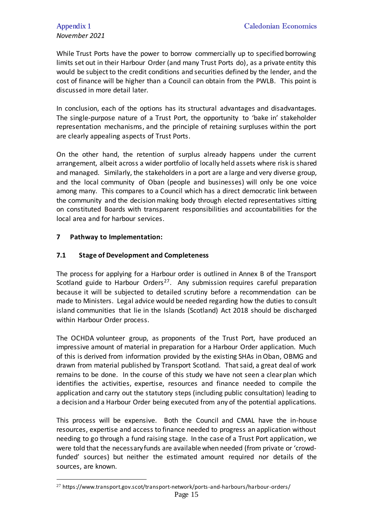# *November 2021*

While Trust Ports have the power to borrow commercially up to specified borrowing limits set out in their Harbour Order (and many Trust Ports do), as a private entity this would be subject to the credit conditions and securities defined by the lender, and the cost of finance will be higher than a Council can obtain from the PWLB. This point is discussed in more detail later.

In conclusion, each of the options has its structural advantages and disadvantages. The single-purpose nature of a Trust Port, the opportunity to 'bake in' stakeholder representation mechanisms, and the principle of retaining surpluses within the port are clearly appealing aspects of Trust Ports.

On the other hand, the retention of surplus already happens under the current arrangement, albeit across a wider portfolio of locally held assets where risk is shared and managed. Similarly, the stakeholders in a port are a large and very diverse group, and the local community of Oban (people and businesses) will only be one voice among many. This compares to a Council which has a direct democratic link between the community and the decision making body through elected representatives sitting on constituted Boards with transparent responsibilities and accountabilities for the local area and for harbour services.

#### **7 Pathway to Implementation:**

 $\overline{a}$ 

#### **7.1 Stage of Development and Completeness**

The process for applying for a Harbour order is outlined in Annex B of the Transport Scotland guide to Harbour Orders<sup>27</sup>. Any submission requires careful preparation because it will be subjected to detailed scrutiny before a recommendation can be made to Ministers. Legal advice would be needed regarding how the duties to consult island communities that lie in the Islands (Scotland) Act 2018 should be discharged within Harbour Order process.

The OCHDA volunteer group, as proponents of the Trust Port, have produced an impressive amount of material in preparation for a Harbour Order application. Much of this is derived from information provided by the existing SHAs in Oban, OBMG and drawn from material published by Transport Scotland. That said, a great deal of work remains to be done. In the course of this study we have not seen a clear plan which identifies the activities, expertise, resources and finance needed to compile the application and carry out the statutory steps (including public consultation) leading to a decision and a Harbour Order being executed from any of the potential applications.

This process will be expensive. Both the Council and CMAL have the in-house resources, expertise and access to finance needed to progress an application without needing to go through a fund raising stage. In the case of a Trust Port application, we were told that the necessary funds are available when needed (from private or 'crowdfunded' sources) but neither the estimated amount required nor details of the sources, are known.

<sup>27</sup> https://www.transport.gov.scot/transport-network/ports-and-harbours/harbour-orders/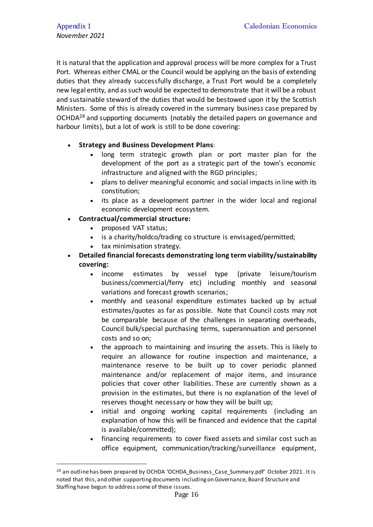It is natural that the application and approval process will be more complex for a Trust Port. Whereas either CMAL or the Council would be applying on the basis of extending duties that they already successfully discharge, a Trust Port would be a completely new legal entity, and as such would be expected to demonstrate that it will be a robust and sustainable steward of the duties that would be bestowed upon it by the Scottish Ministers. Some of this is already covered in the summary business case prepared by OCHDA<sup>28</sup> and supporting documents (notably the detailed papers on governance and harbour limits), but a lot of work is still to be done covering:

## **Strategy and Business Development Plans**:

- long term strategic growth plan or port master plan for the development of the port as a strategic part of the town's economic infrastructure and aligned with the RGD principles;
- plans to deliver meaningful economic and social impacts in line with its constitution;
- its place as a development partner in the wider local and regional economic development ecosystem.
- **Contractual/commercial structure:**
	- proposed VAT status;
	- is a charity/holdco/trading co structure is envisaged/permitted;
	- tax minimisation strategy.
- **Detailed financial forecasts demonstrating long term viability/sustainability covering:**
	- income estimates by vessel type (private leisure/tourism business/commercial/ferry etc) including monthly and seasonal variations and forecast growth scenarios;
	- monthly and seasonal expenditure estimates backed up by actual estimates/quotes as far as possible. Note that Council costs may not be comparable because of the challenges in separating overheads, Council bulk/special purchasing terms, superannuation and personnel costs and so on;
	- the approach to maintaining and insuring the assets. This is likely to require an allowance for routine inspection and maintenance, a maintenance reserve to be built up to cover periodic planned maintenance and/or replacement of major items, and insurance policies that cover other liabilities. These are currently shown as a provision in the estimates, but there is no explanation of the level of reserves thought necessary or how they will be built up;
	- initial and ongoing working capital requirements (including an explanation of how this will be financed and evidence that the capital is available/committed);
	- financing requirements to cover fixed assets and similar cost such as office equipment, communication/tracking/surveillance equipment,

 $^{28}$  an outline has been prepared by OCHDA 'OCHDA\_Business\_Case\_Summary.pdf' October 2021. It is noted that this, and other supporting documents including on Governance, Board Structure and Staffing have begun to address some of these issues.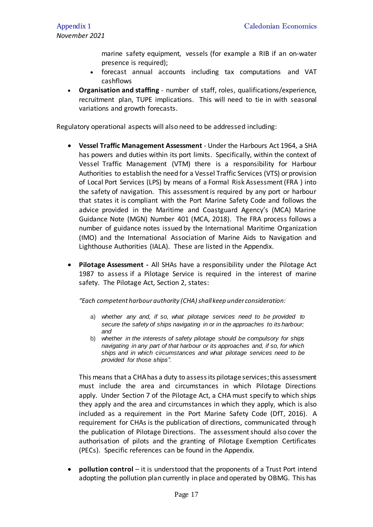marine safety equipment, vessels (for example a RIB if an on-water presence is required);

- forecast annual accounts including tax computations and VAT cashflows
- **Organisation and staffing** number of staff, roles, qualifications/experience, recruitment plan, TUPE implications. This will need to tie in with seasonal variations and growth forecasts.

Regulatory operational aspects will also need to be addressed including:

- **Vessel Traffic Management Assessment** Under the Harbours Act 1964, a SHA has powers and duties within its port limits. Specifically, within the context of Vessel Traffic Management (VTM) there is a responsibility for Harbour Authorities to establish the need for a Vessel Traffic Services (VTS) or provision of Local Port Services (LPS) by means of a Formal Risk Assessment (FRA ) into the safety of navigation. This assessment is required by any port or harbour that states it is compliant with the Port Marine Safety Code and follows the advice provided in the Maritime and Coastguard Agency's (MCA) Marine Guidance Note (MGN) Number 401 (MCA, 2018). The FRA process follows a number of guidance notes issued by the International Maritime Organization (IMO) and the International Association of Marine Aids to Navigation and Lighthouse Authorities (IALA). These are listed in the Appendix.
- **Pilotage Assessment -** All SHAs have a responsibility under the Pilotage Act 1987 to assess if a Pilotage Service is required in the interest of marine safety. The Pilotage Act, Section 2, states:

*"Each competent harbour authority (CHA)shallkeep under consideration:*

- a) *whether any and, if so, what pilotage services need to be provided to secure the safety of ships navigating in or in the approaches to its harbour; and*
- b) *whether in the interests of safety pilotage should be compulsory for ships navigating in any part of that harbour or its approaches and, if so, for which ships and in which circumstances and what pilotage services need to be provided for those ships".*

This means that a CHA has a duty to assess its pilotage services; this assessment must include the area and circumstances in which Pilotage Directions apply. Under Section 7 of the Pilotage Act, a CHA must specify to which ships they apply and the area and circumstances in which they apply, which is also included as a requirement in the Port Marine Safety Code (DfT, 2016). A requirement for CHAs is the publication of directions, communicated through the publication of Pilotage Directions. The assessment should also cover the authorisation of pilots and the granting of Pilotage Exemption Certificates (PECs). Specific references can be found in the Appendix.

 **pollution control** – it is understood that the proponents of a Trust Port intend adopting the pollution plan currently in place and operated by OBMG. This has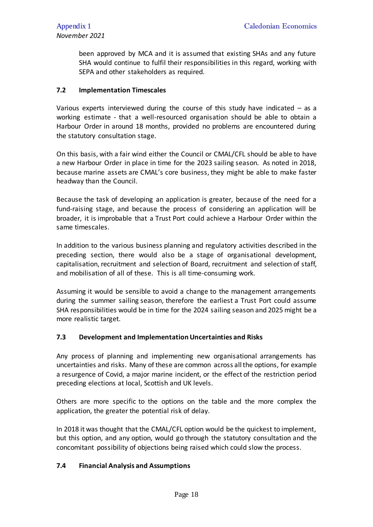been approved by MCA and it is assumed that existing SHAs and any future SHA would continue to fulfil their responsibilities in this regard, working with SEPA and other stakeholders as required.

## **7.2 Implementation Timescales**

Various experts interviewed during the course of this study have indicated – as a working estimate - that a well-resourced organisation should be able to obtain a Harbour Order in around 18 months, provided no problems are encountered during the statutory consultation stage.

On this basis, with a fair wind either the Council or CMAL/CFL should be able to have a new Harbour Order in place in time for the 2023 sailing season. As noted in 2018, because marine assets are CMAL's core business, they might be able to make faster headway than the Council.

Because the task of developing an application is greater, because of the need for a fund-raising stage, and because the process of considering an application will be broader, it is improbable that a Trust Port could achieve a Harbour Order within the same timescales.

In addition to the various business planning and regulatory activities described in the preceding section, there would also be a stage of organisational development, capitalisation, recruitment and selection of Board, recruitment and selection of staff, and mobilisation of all of these. This is all time-consuming work.

Assuming it would be sensible to avoid a change to the management arrangements during the summer sailing season, therefore the earliest a Trust Port could assume SHA responsibilities would be in time for the 2024 sailing season and 2025 might be a more realistic target.

#### **7.3 Development and Implementation Uncertainties and Risks**

Any process of planning and implementing new organisational arrangements has uncertainties and risks. Many of these are common across all the options, for example a resurgence of Covid, a major marine incident, or the effect of the restriction period preceding elections at local, Scottish and UK levels.

Others are more specific to the options on the table and the more complex the application, the greater the potential risk of delay.

In 2018 it was thought that the CMAL/CFL option would be the quickest to implement, but this option, and any option, would go through the statutory consultation and the concomitant possibility of objections being raised which could slow the process.

## **7.4 Financial Analysis and Assumptions**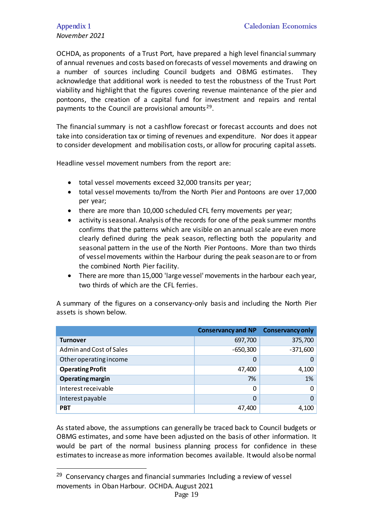# *November 2021*

 $\overline{a}$ 

OCHDA, as proponents of a Trust Port, have prepared a high level financial summary of annual revenues and costs based on forecasts of vessel movements and drawing on a number of sources including Council budgets and OBMG estimates. They acknowledge that additional work is needed to test the robustness of the Trust Port viability and highlight that the figures covering revenue maintenance of the pier and pontoons, the creation of a capital fund for investment and repairs and rental payments to the Council are provisional amounts<sup>29</sup>.

The financial summary is not a cashflow forecast or forecast accounts and does not take into consideration tax or timing of revenues and expenditure. Nor does it appear to consider development and mobilisation costs, or allow for procuring capital assets.

Headline vessel movement numbers from the report are:

- total vessel movements exceed 32,000 transits per year;
- total vessel movements to/from the North Pier and Pontoons are over 17,000 per year;
- there are more than 10,000 scheduled CFL ferry movements per year;
- activity is seasonal. Analysis of the records for one of the peak summer months confirms that the patterns which are visible on an annual scale are even more clearly defined during the peak season, reflecting both the popularity and seasonal pattern in the use of the North Pier Pontoons. More than two thirds of vessel movements within the Harbour during the peak season are to or from the combined North Pier facility.
- There are more than 15,000 'large vessel' movements in the harbour each year, two thirds of which are the CFL ferries.

A summary of the figures on a conservancy-only basis and including the North Pier assets is shown below.

|                         | <b>Conservancy and NP</b> | <b>Conservancy only</b> |
|-------------------------|---------------------------|-------------------------|
| <b>Turnover</b>         | 697,700                   | 375,700                 |
| Admin and Cost of Sales | $-650,300$                | $-371,600$              |
| Other operating income  | 0                         | 0                       |
| <b>Operating Profit</b> | 47,400                    | 4,100                   |
| <b>Operating margin</b> | 7%                        | 1%                      |
| Interest receivable     | 0                         | 0                       |
| Interest payable        | $\Omega$                  | 0                       |
| <b>PBT</b>              | 47,400                    | 4,100                   |

As stated above, the assumptions can generally be traced back to Council budgets or OBMG estimates, and some have been adjusted on the basis of other information. It would be part of the normal business planning process for confidence in these estimates to increase as more information becomes available. It would also be normal

 $29$  Conservancy charges and financial summaries Including a review of vessel movements in Oban Harbour. OCHDA. August 2021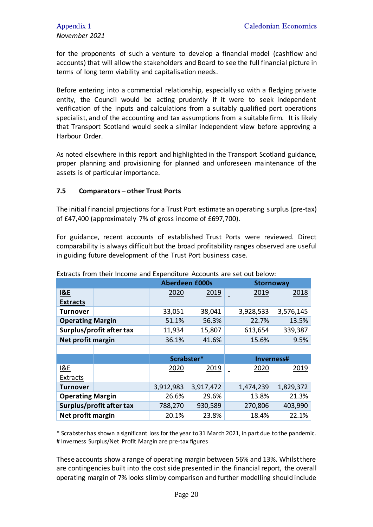for the proponents of such a venture to develop a financial model (cashflow and accounts) that will allow the stakeholders and Board to see the full financial picture in terms of long term viability and capitalisation needs.

Before entering into a commercial relationship, especially so with a fledging private entity, the Council would be acting prudently if it were to seek independent verification of the inputs and calculations from a suitably qualified port operations specialist, and of the accounting and tax assumptions from a suitable firm. It is likely that Transport Scotland would seek a similar independent view before approving a Harbour Order.

As noted elsewhere in this report and highlighted in the Transport Scotland guidance, proper planning and provisioning for planned and unforeseen maintenance of the assets is of particular importance.

#### **7.5 Comparators – other Trust Ports**

The initial financial projections for a Trust Port estimate an operating surplus (pre-tax) of £47,400 (approximately 7% of gross income of £697,700).

For guidance, recent accounts of established Trust Ports were reviewed. Direct comparability is always difficult but the broad profitability ranges observed are useful in guiding future development of the Trust Port business case.

|                          |  | <b>Aberdeen £000s</b> |           |  | <b>Stornoway</b> |           |
|--------------------------|--|-----------------------|-----------|--|------------------|-----------|
| <b>I&amp;E</b>           |  | 2020                  | 2019      |  | 2019             | 2018      |
| <b>Extracts</b>          |  |                       |           |  |                  |           |
| Turnover                 |  | 33,051                | 38,041    |  | 3,928,533        | 3,576,145 |
| <b>Operating Margin</b>  |  | 51.1%                 | 56.3%     |  | 22.7%            | 13.5%     |
| Surplus/profit after tax |  | 11,934                | 15,807    |  | 613,654          | 339,387   |
| Net profit margin        |  | 36.1%                 | 41.6%     |  | 15.6%            | 9.5%      |
|                          |  |                       |           |  |                  |           |
|                          |  | Scrabster*            |           |  | Inverness#       |           |
| 18E                      |  | 2020                  | 2019      |  | 2020             | 2019      |
| Extracts                 |  |                       |           |  |                  |           |
| Turnover                 |  | 3,912,983             | 3,917,472 |  | 1,474,239        | 1,829,372 |
| <b>Operating Margin</b>  |  | 26.6%                 | 29.6%     |  | 13.8%            | 21.3%     |
| Surplus/profit after tax |  | 788,270               | 930,589   |  | 270,806          | 403,990   |
| Net profit margin        |  | 20.1%                 | 23.8%     |  | 18.4%            | 22.1%     |

Extracts from their Income and Expenditure Accounts are set out below:

\* Scrabster has shown a significant loss for the year to 31 March 2021, in part due to the pandemic. # Inverness Surplus/Net Profit Margin are pre-tax figures

These accounts show a range of operating margin between 56% and 13%. Whilst there are contingencies built into the cost side presented in the financial report, the overall operating margin of 7% looks slim by comparison and further modelling should include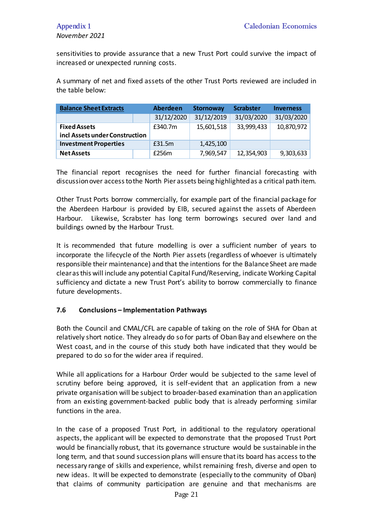sensitivities to provide assurance that a new Trust Port could survive the impact of increased or unexpected running costs.

A summary of net and fixed assets of the other Trust Ports reviewed are included in the table below:

| <b>Balance Sheet Extracts</b>  |        | <b>Aberdeen</b> | <b>Stornoway</b> | <b>Scrabster</b> | <b>Inverness</b> |
|--------------------------------|--------|-----------------|------------------|------------------|------------------|
|                                |        | 31/12/2020      | 31/12/2019       | 31/03/2020       | 31/03/2020       |
| <b>Fixed Assets</b>            |        | £340.7m         | 15,601,518       | 33,999,433       | 10,870,972       |
| incl Assets under Construction |        |                 |                  |                  |                  |
| <b>Investment Properties</b>   | £31.5m |                 | 1,425,100        |                  |                  |
| <b>Net Assets</b>              | £256m  |                 | 7,969,547        | 12,354,903       | 9,303,633        |

The financial report recognises the need for further financial forecasting with discussion over access to the North Pier assets being highlighted as a critical path item.

Other Trust Ports borrow commercially, for example part of the financial package for the Aberdeen Harbour is provided by EIB, secured against the assets of Aberdeen Harbour. Likewise, Scrabster has long term borrowings secured over land and buildings owned by the Harbour Trust.

It is recommended that future modelling is over a sufficient number of years to incorporate the lifecycle of the North Pier assets (regardless of whoever is ultimately responsible their maintenance) and that the intentions for the Balance Sheet are made clear as this will include any potential Capital Fund/Reserving, indicate Working Capital sufficiency and dictate a new Trust Port's ability to borrow commercially to finance future developments.

#### **7.6 Conclusions – Implementation Pathways**

Both the Council and CMAL/CFL are capable of taking on the role of SHA for Oban at relatively short notice. They already do so for parts of Oban Bay and elsewhere on the West coast, and in the course of this study both have indicated that they would be prepared to do so for the wider area if required.

While all applications for a Harbour Order would be subjected to the same level of scrutiny before being approved, it is self-evident that an application from a new private organisation will be subject to broader-based examination than an application from an existing government-backed public body that is already performing similar functions in the area.

In the case of a proposed Trust Port, in additional to the regulatory operational aspects, the applicant will be expected to demonstrate that the proposed Trust Port would be financially robust, that its governance structure would be sustainable in the long term, and that sound succession plans will ensure that its board has access to the necessary range of skills and experience, whilst remaining fresh, diverse and open to new ideas. It will be expected to demonstrate (especially to the community of Oban) that claims of community participation are genuine and that mechanisms are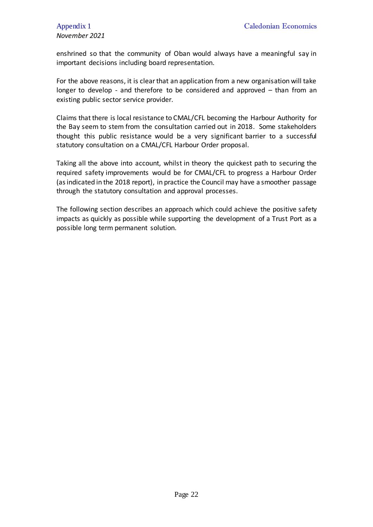enshrined so that the community of Oban would always have a meaningful say in important decisions including board representation.

For the above reasons, it is clear that an application from a new organisation will take longer to develop - and therefore to be considered and approved – than from an existing public sector service provider.

Claims that there is local resistance to CMAL/CFL becoming the Harbour Authority for the Bay seem to stem from the consultation carried out in 2018. Some stakeholders thought this public resistance would be a very significant barrier to a successful statutory consultation on a CMAL/CFL Harbour Order proposal.

Taking all the above into account, whilst in theory the quickest path to securing the required safety improvements would be for CMAL/CFL to progress a Harbour Order (as indicated in the 2018 report), in practice the Council may have a smoother passage through the statutory consultation and approval processes.

The following section describes an approach which could achieve the positive safety impacts as quickly as possible while supporting the development of a Trust Port as a possible long term permanent solution.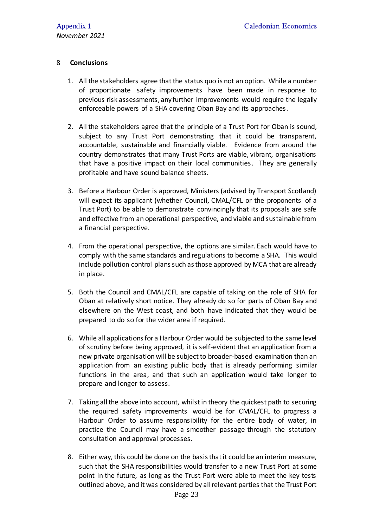## 8 **Conclusions**

- 1. All the stakeholders agree that the status quo is not an option. While a number of proportionate safety improvements have been made in response to previous risk assessments, any further improvements would require the legally enforceable powers of a SHA covering Oban Bay and its approaches.
- 2. All the stakeholders agree that the principle of a Trust Port for Oban is sound, subject to any Trust Port demonstrating that it could be transparent, accountable, sustainable and financially viable. Evidence from around the country demonstrates that many Trust Ports are viable, vibrant, organisations that have a positive impact on their local communities. They are generally profitable and have sound balance sheets.
- 3. Before a Harbour Order is approved, Ministers (advised by Transport Scotland) will expect its applicant (whether Council, CMAL/CFL or the proponents of a Trust Port) to be able to demonstrate convincingly that its proposals are safe and effective from an operational perspective, and viable and sustainable from a financial perspective.
- 4. From the operational perspective, the options are similar. Each would have to comply with the same standards and regulations to become a SHA. This would include pollution control plans such as those approved by MCA that are already in place.
- 5. Both the Council and CMAL/CFL are capable of taking on the role of SHA for Oban at relatively short notice. They already do so for parts of Oban Bay and elsewhere on the West coast, and both have indicated that they would be prepared to do so for the wider area if required.
- 6. While all applications for a Harbour Order would be subjected to the same level of scrutiny before being approved, it is self-evident that an application from a new private organisation will be subject to broader-based examination than an application from an existing public body that is already performing similar functions in the area, and that such an application would take longer to prepare and longer to assess.
- 7. Taking all the above into account, whilst in theory the quickest path to securing the required safety improvements would be for CMAL/CFL to progress a Harbour Order to assume responsibility for the entire body of water, in practice the Council may have a smoother passage through the statutory consultation and approval processes.
- 8. Either way, this could be done on the basis that it could be an interim measure, such that the SHA responsibilities would transfer to a new Trust Port at some point in the future, as long as the Trust Port were able to meet the key tests outlined above, and it was considered by all relevant parties that the Trust Port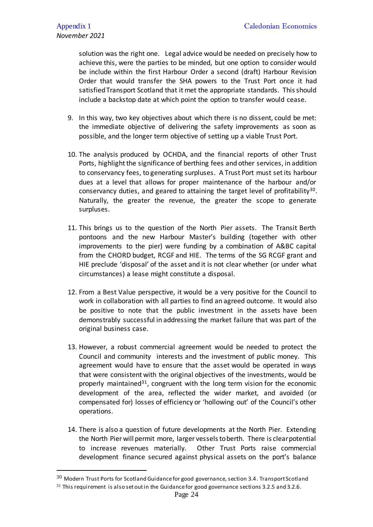solution was the right one. Legal advice would be needed on precisely how to achieve this, were the parties to be minded, but one option to consider would be include within the first Harbour Order a second (draft) Harbour Revision Order that would transfer the SHA powers to the Trust Port once it had satisfiedTransport Scotland that it met the appropriate standards. This should include a backstop date at which point the option to transfer would cease.

- 9. In this way, two key objectives about which there is no dissent, could be met: the immediate objective of delivering the safety improvements as soon as possible, and the longer term objective of setting up a viable Trust Port.
- 10. The analysis produced by OCHDA, and the financial reports of other Trust Ports, highlight the significance of berthing fees and other services, in addition to conservancy fees, to generating surpluses. A Trust Port must set its harbour dues at a level that allows for proper maintenance of the harbour and/or conservancy duties, and geared to attaining the target level of profitability<sup>30</sup>. Naturally, the greater the revenue, the greater the scope to generate surpluses.
- 11. This brings us to the question of the North Pier assets. The Transit Berth pontoons and the new Harbour Master's building (together with other improvements to the pier) were funding by a combination of A&BC capital from the CHORD budget, RCGF and HIE. The terms of the SG RCGF grant and HIE preclude 'disposal' of the asset and it is not clear whether (or under what circumstances) a lease might constitute a disposal.
- 12. From a Best Value perspective, it would be a very positive for the Council to work in collaboration with all parties to find an agreed outcome. It would also be positive to note that the public investment in the assets have been demonstrably successful in addressing the market failure that was part of the original business case.
- 13. However, a robust commercial agreement would be needed to protect the Council and community interests and the investment of public money. This agreement would have to ensure that the asset would be operated in ways that were consistent with the original objectives of the investments, would be properly maintained<sup>31</sup>, congruent with the long term vision for the economic development of the area, reflected the wider market, and avoided (or compensated for) losses of efficiency or 'hollowing out' of the Council's other operations.
- 14. There is also a question of future developments at the North Pier. Extending the North Pier will permit more, larger vessels to berth. There is clear potential to increase revenues materially. Other Trust Ports raise commercial development finance secured against physical assets on the port's balance

 $30$  Modern Trust Ports for Scotland Guidance for good governance, section 3.4. Transport Scotland

 $31$  This requirement is also set out in the Guidance for good governance sections 3.2.5 and 3.2.6.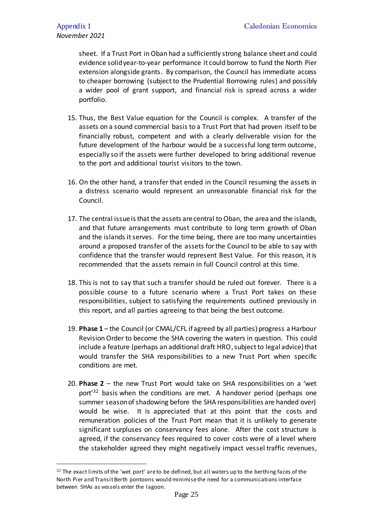sheet. If a Trust Port in Oban had a sufficiently strong balance sheet and could evidence solid year-to-year performance it could borrow to fund the North Pier extension alongside grants. By comparison, the Council has immediate access to cheaper borrowing (subject to the Prudential Borrowing rules) and possibly a wider pool of grant support, and financial risk is spread across a wider portfolio.

- 15. Thus, the Best Value equation for the Council is complex. A transfer of the assets on a sound commercial basis to a Trust Port that had proven itself to be financially robust, competent and with a clearly deliverable vision for the future development of the harbour would be a successful long term outcome, especially so if the assets were further developed to bring additional revenue to the port and additional tourist visitors to the town.
- 16. On the other hand, a transfer that ended in the Council resuming the assets in a distress scenario would represent an unreasonable financial risk for the Council.
- 17. The central issue is that the assets are central to Oban, the area and the islands, and that future arrangements must contribute to long term growth of Oban and the islands it serves. For the time being, there are too many uncertainties around a proposed transfer of the assets for the Council to be able to say with confidence that the transfer would represent Best Value. For this reason, it is recommended that the assets remain in full Council control at this time.
- 18. This is not to say that such a transfer should be ruled out forever. There is a possible course to a future scenario where a Trust Port takes on these responsibilities, subject to satisfying the requirements outlined previously in this report, and all parties agreeing to that being the best outcome.
- 19. **Phase 1** the Council (or CMAL/CFL if agreed by all parties) progress a Harbour Revision Order to become the SHA covering the waters in question. This could include a feature (perhaps an additional draft HRO, subject to legal advice) that would transfer the SHA responsibilities to a new Trust Port when specific conditions are met.
- 20. **Phase 2** the new Trust Port would take on SHA responsibilities on a 'wet port'<sup>32</sup> basis when the conditions are met. A handover period (perhaps one summer season of shadowing before the SHA responsibilities are handed over) would be wise. It is appreciated that at this point that the costs and remuneration policies of the Trust Port mean that it is unlikely to generate significant surpluses on conservancy fees alone. After the cost structure is agreed, if the conservancy fees required to cover costs were of a level where the stakeholder agreed they might negatively impact vessel traffic revenues,

<sup>&</sup>lt;sup>32</sup> The exact limits of the 'wet port' are to be defined, but all waters up to the berthing faces of the North Pier and Transit Berth pontoons would minimise the need for a communications interface between SHAs as vessels enter the lagoon.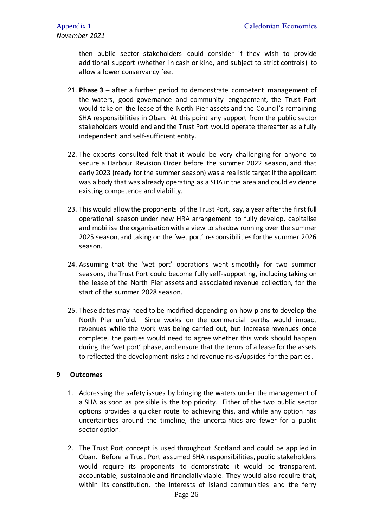then public sector stakeholders could consider if they wish to provide additional support (whether in cash or kind, and subject to strict controls) to allow a lower conservancy fee.

- 21. **Phase 3** after a further period to demonstrate competent management of the waters, good governance and community engagement, the Trust Port would take on the lease of the North Pier assets and the Council's remaining SHA responsibilities in Oban. At this point any support from the public sector stakeholders would end and the Trust Port would operate thereafter as a fully independent and self-sufficient entity.
- 22. The experts consulted felt that it would be very challenging for anyone to secure a Harbour Revision Order before the summer 2022 season, and that early 2023 (ready for the summer season) was a realistic target if the applicant was a body that was already operating as a SHA in the area and could evidence existing competence and viability.
- 23. This would allow the proponents of the Trust Port, say, a year after the first full operational season under new HRA arrangement to fully develop, capitalise and mobilise the organisation with a view to shadow running over the summer 2025 season, and taking on the 'wet port' responsibilities for the summer 2026 season.
- 24. Assuming that the 'wet port' operations went smoothly for two summer seasons, the Trust Port could become fully self-supporting, including taking on the lease of the North Pier assets and associated revenue collection, for the start of the summer 2028 season.
- 25. These dates may need to be modified depending on how plans to develop the North Pier unfold. Since works on the commercial berths would impact revenues while the work was being carried out, but increase revenues once complete, the parties would need to agree whether this work should happen during the 'wet port' phase, and ensure that the terms of a lease for the assets to reflected the development risks and revenue risks/upsides for the parties.

## **9 Outcomes**

- 1. Addressing the safety issues by bringing the waters under the management of a SHA as soon as possible is the top priority. Either of the two public sector options provides a quicker route to achieving this, and while any option has uncertainties around the timeline, the uncertainties are fewer for a public sector option.
- 2. The Trust Port concept is used throughout Scotland and could be applied in Oban. Before a Trust Port assumed SHA responsibilities, public stakeholders would require its proponents to demonstrate it would be transparent, accountable, sustainable and financially viable. They would also require that, within its constitution, the interests of island communities and the ferry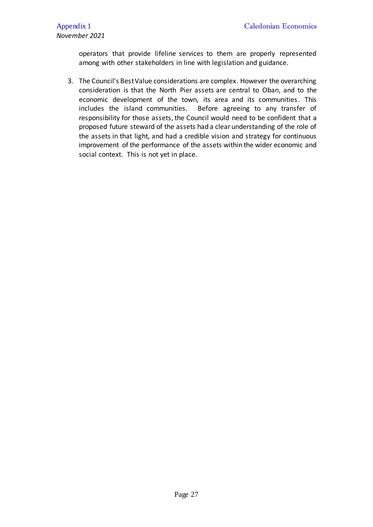operators that provide lifeline services to them are properly represented among with other stakeholders in line with legislation and guidance.

3. The Council's Best Value considerations are complex. However the overarching consideration is that the North Pier assets are central to Oban, and to the economic development of the town, its area and its communities. This includes the island communities. Before agreeing to any transfer of responsibility for those assets, the Council would need to be confident that a proposed future steward of the assets had a clear understanding of the role of the assets in that light, and had a credible vision and strategy for continuous improvement of the performance of the assets within the wider economic and social context. This is not yet in place.